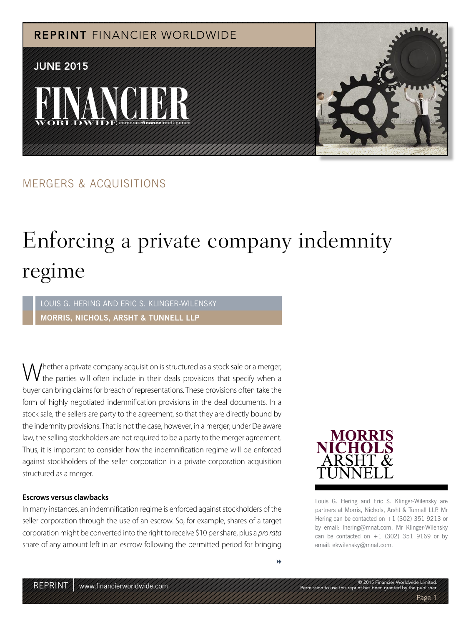

#### MERGERS & ACQUISITIONS

### Enforcing a private company indemnity regime

LOUIS G. HERING AND ERIC S. KLINGER-WILENSKY **MORRIS, NICHOLS, ARSHT & TUNNELL LLP**

Whether a private company acquisition is structured as a stock sale or a merger, the parties will often include in their deals provisions that specify when a buyer can bring claims for breach of representations. These provisions often take the form of highly negotiated indemnification provisions in the deal documents. In a stock sale, the sellers are party to the agreement, so that they are directly bound by the indemnity provisions. That is not the case, however, in a merger; under Delaware law, the selling stockholders are not required to be a party to the merger agreement. Thus, it is important to consider how the indemnification regime will be enforced against stockholders of the seller corporation in a private corporation acquisition structured as a merger.

#### **Escrows versus clawbacks**

In many instances, an indemnification regime is enforced against stockholders of the seller corporation through the use of an escrow. So, for example, shares of a target corporation might be converted into the right to receive \$10 per share, plus a pro rata share of any amount left in an escrow following the permitted period for bringing



Louis G. Hering and Eric S. Klinger-Wilensky are partners at Morris, Nichols, Arsht & Tunnell LLP. Mr Hering can be contacted on +1 (302) 351 9213 or by email: lhering@mnat.com. Mr Klinger-Wilensky can be contacted on  $+1$  (302) 351 9169 or by email: ekwilensky@mnat.com.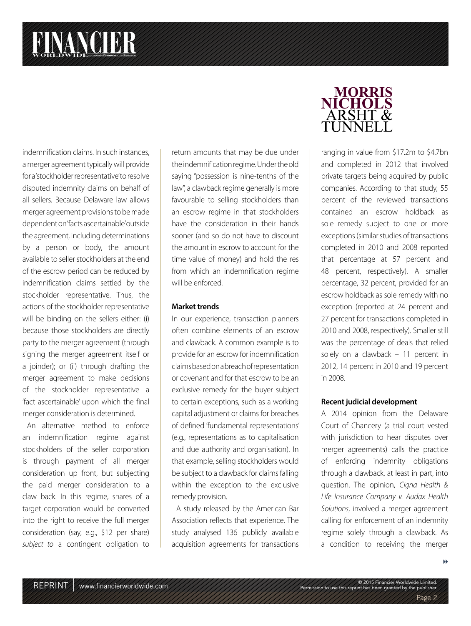# **FINANCIER**

indemnification claims. In such instances, a merger agreement typically will provide for a 'stockholder representative' to resolve disputed indemnity claims on behalf of all sellers. Because Delaware law allows merger agreement provisions to be made dependent on 'facts ascertainable' outside the agreement, including determinations by a person or body, the amount available to seller stockholders at the end of the escrow period can be reduced by indemnification claims settled by the stockholder representative. Thus, the actions of the stockholder representative will be binding on the sellers either: (i) because those stockholders are directly party to the merger agreement (through signing the merger agreement itself or a joinder); or (ii) through drafting the merger agreement to make decisions of the stockholder representative a 'fact ascertainable' upon which the final merger consideration is determined.

An alternative method to enforce an indemnification regime against stockholders of the seller corporation is through payment of all merger consideration up front, but subjecting the paid merger consideration to a claw back. In this regime, shares of a target corporation would be converted into the right to receive the full merger consideration (say, e.g., \$12 per share) subject to a contingent obligation to

return amounts that may be due under the indemnification regime. Under the old saying "possession is nine-tenths of the law", a clawback regime generally is more favourable to selling stockholders than an escrow regime in that stockholders have the consideration in their hands sooner (and so do not have to discount the amount in escrow to account for the time value of money) and hold the res from which an indemnification regime will be enforced.

#### **Market trends**

In our experience, transaction planners often combine elements of an escrow and clawback. A common example is to provide for an escrow for indemnification claims based on a breach of representation or covenant and for that escrow to be an exclusive remedy for the buyer subject to certain exceptions, such as a working capital adjustment or claims for breaches of defined 'fundamental representations' (e.g., representations as to capitalisation and due authority and organisation). In that example, selling stockholders would be subject to a clawback for claims falling within the exception to the exclusive remedy provision.

A study released by the American Bar Association reflects that experience. The study analysed 136 publicly available acquisition agreements for transactions

### **MORRIS** NICHOLS<br>ARSHT & TI INNFI

ranging in value from \$17.2m to \$4.7bn and completed in 2012 that involved private targets being acquired by public companies. According to that study, 55 percent of the reviewed transactions contained an escrow holdback as sole remedy subject to one or more exceptions (similar studies of transactions completed in 2010 and 2008 reported that percentage at 57 percent and 48 percent, respectively). A smaller percentage, 32 percent, provided for an escrow holdback as sole remedy with no exception (reported at 24 percent and 27 percent for transactions completed in 2010 and 2008, respectively). Smaller still was the percentage of deals that relied solely on a clawback – 11 percent in 2012, 14 percent in 2010 and 19 percent in 2008.

#### **Recent judicial development**

A 2014 opinion from the Delaware Court of Chancery (a trial court vested with jurisdiction to hear disputes over merger agreements) calls the practice of enforcing indemnity obligations through a clawback, at least in part, into question. The opinion, Cigna Health & Life Insurance Company v. Audax Health Solutions, involved a merger agreement calling for enforcement of an indemnity regime solely through a clawback. As a condition to receiving the merger